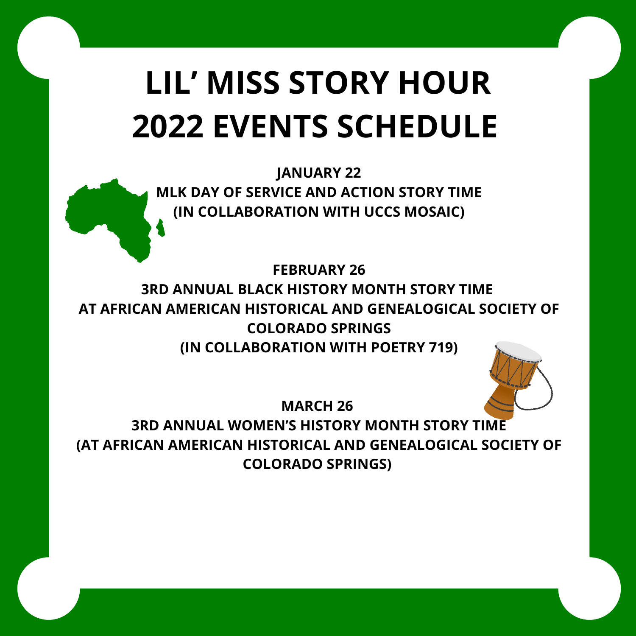# **LIL' MISS STORY HOUR 2022 EVENTS SCHEDULE**

**JANUARY 22 MLK DAY OF SERVICE AND ACTION STORY TIME (IN COLLABORATION WITH UCCS MOSAIC)**

**FEBRUARY 26 3RD ANNUAL BLACK HISTORY MONTH STORY TIME AT AFRICAN AMERICAN HISTORICAL AND GENEALOGICAL SOCIETY OF COLORADO SPRINGS (IN COLLABORATION WITH POETRY 719)**

**MARCH 26 3RD ANNUAL WOMEN'S HISTORY MONTH STORY TIME (AT AFRICAN AMERICAN HISTORICAL AND GENEALOGICAL SOCIETY OF COLORADO SPRINGS)**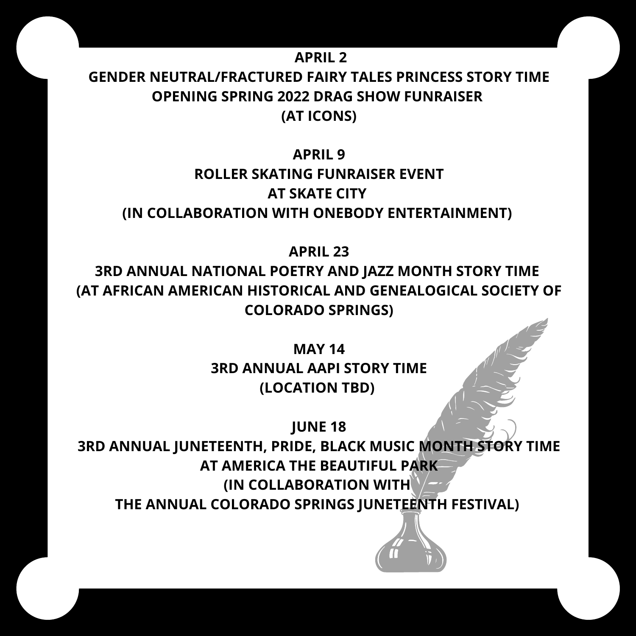#### **APRIL 2**

#### **GENDER NEUTRAL/FRACTURED FAIRY TALES PRINCESS STORY TIME OPENING SPRING 2022 DRAG SHOW FUNRAISER (AT ICONS)**

#### **APRIL 9**

## **ROLLER SKATING FUNRAISER EVENT AT SKATE CITY (IN COLLABORATION WITH ONEBODY ENTERTAINMENT)**

**APRIL 23**

**3RD ANNUAL NATIONAL POETRY AND JAZZ MONTH STORY TIME (AT AFRICAN AMERICAN HISTORICAL AND GENEALOGICAL SOCIETY OF COLORADO SPRINGS)**

> **MAY 14 3RD ANNUAL AAPI STORY TIME (LOCATION TBD)**

> > **JUNE 18**

**3RD ANNUAL JUNETEENTH, PRIDE, BLACK MUSIC MONTH STORY TIME AT AMERICA THE BEAUTIFUL PARK (IN COLLABORATION WITH THE ANNUAL COLORADO SPRINGS JUNETEENTH FESTIVAL)**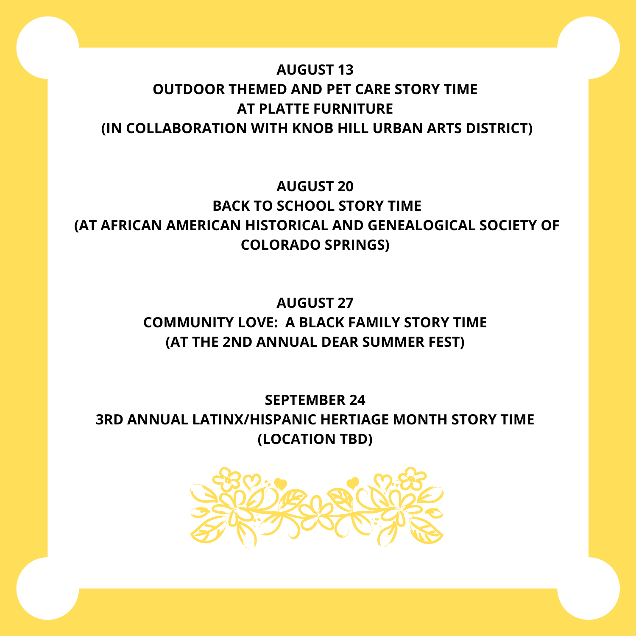## **AUGUST 13 OUTDOOR THEMED AND PET CARE STORY TIME AT PLATTE FURNITURE (IN COLLABORATION WITH KNOB HILL URBAN ARTS DISTRICT)**

#### **AUGUST 20 BACK TO SCHOOL STORY TIME (AT AFRICAN AMERICAN HISTORICAL AND GENEALOGICAL SOCIETY OF COLORADO SPRINGS)**

#### **AUGUST 27 COMMUNITY LOVE: A BLACK FAMILY STORY TIME (AT THE 2ND ANNUAL DEAR SUMMER FEST)**

**SEPTEMBER 24 3RD ANNUAL LATINX/HISPANIC HERTIAGE MONTH STORY TIME (LOCATION TBD)**